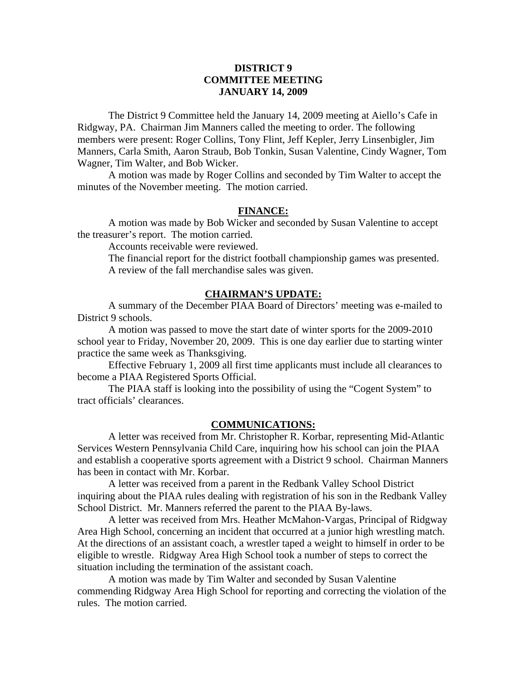# **DISTRICT 9 COMMITTEE MEETING JANUARY 14, 2009**

 The District 9 Committee held the January 14, 2009 meeting at Aiello's Cafe in Ridgway, PA. Chairman Jim Manners called the meeting to order. The following members were present: Roger Collins, Tony Flint, Jeff Kepler, Jerry Linsenbigler, Jim Manners, Carla Smith, Aaron Straub, Bob Tonkin, Susan Valentine, Cindy Wagner, Tom Wagner, Tim Walter, and Bob Wicker.

 A motion was made by Roger Collins and seconded by Tim Walter to accept the minutes of the November meeting. The motion carried.

#### **FINANCE:**

A motion was made by Bob Wicker and seconded by Susan Valentine to accept the treasurer's report. The motion carried.

Accounts receivable were reviewed.

 The financial report for the district football championship games was presented. A review of the fall merchandise sales was given.

## **CHAIRMAN'S UPDATE:**

 A summary of the December PIAA Board of Directors' meeting was e-mailed to District 9 schools.

 A motion was passed to move the start date of winter sports for the 2009-2010 school year to Friday, November 20, 2009. This is one day earlier due to starting winter practice the same week as Thanksgiving.

 Effective February 1, 2009 all first time applicants must include all clearances to become a PIAA Registered Sports Official.

 The PIAA staff is looking into the possibility of using the "Cogent System" to tract officials' clearances.

#### **COMMUNICATIONS:**

 A letter was received from Mr. Christopher R. Korbar, representing Mid-Atlantic Services Western Pennsylvania Child Care, inquiring how his school can join the PIAA and establish a cooperative sports agreement with a District 9 school. Chairman Manners has been in contact with Mr. Korbar.

 A letter was received from a parent in the Redbank Valley School District inquiring about the PIAA rules dealing with registration of his son in the Redbank Valley School District. Mr. Manners referred the parent to the PIAA By-laws.

 A letter was received from Mrs. Heather McMahon-Vargas, Principal of Ridgway Area High School, concerning an incident that occurred at a junior high wrestling match. At the directions of an assistant coach, a wrestler taped a weight to himself in order to be eligible to wrestle. Ridgway Area High School took a number of steps to correct the situation including the termination of the assistant coach.

 A motion was made by Tim Walter and seconded by Susan Valentine commending Ridgway Area High School for reporting and correcting the violation of the rules. The motion carried.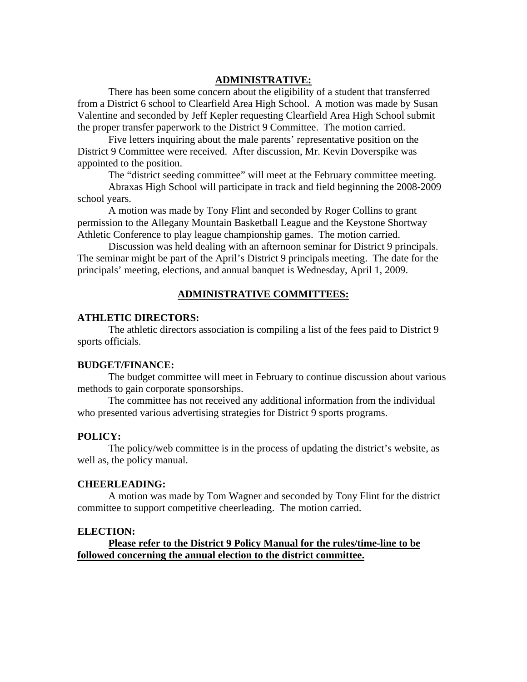## **ADMINISTRATIVE:**

 There has been some concern about the eligibility of a student that transferred from a District 6 school to Clearfield Area High School. A motion was made by Susan Valentine and seconded by Jeff Kepler requesting Clearfield Area High School submit the proper transfer paperwork to the District 9 Committee. The motion carried.

 Five letters inquiring about the male parents' representative position on the District 9 Committee were received. After discussion, Mr. Kevin Doverspike was appointed to the position.

The "district seeding committee" will meet at the February committee meeting.

 Abraxas High School will participate in track and field beginning the 2008-2009 school years.

 A motion was made by Tony Flint and seconded by Roger Collins to grant permission to the Allegany Mountain Basketball League and the Keystone Shortway Athletic Conference to play league championship games. The motion carried.

 Discussion was held dealing with an afternoon seminar for District 9 principals. The seminar might be part of the April's District 9 principals meeting. The date for the principals' meeting, elections, and annual banquet is Wednesday, April 1, 2009.

# **ADMINISTRATIVE COMMITTEES:**

## **ATHLETIC DIRECTORS:**

 The athletic directors association is compiling a list of the fees paid to District 9 sports officials.

### **BUDGET/FINANCE:**

 The budget committee will meet in February to continue discussion about various methods to gain corporate sponsorships.

 The committee has not received any additional information from the individual who presented various advertising strategies for District 9 sports programs.

### **POLICY:**

 The policy/web committee is in the process of updating the district's website, as well as, the policy manual.

#### **CHEERLEADING:**

 A motion was made by Tom Wagner and seconded by Tony Flint for the district committee to support competitive cheerleading. The motion carried.

### **ELECTION:**

**Please refer to the District 9 Policy Manual for the rules/time-line to be followed concerning the annual election to the district committee.**